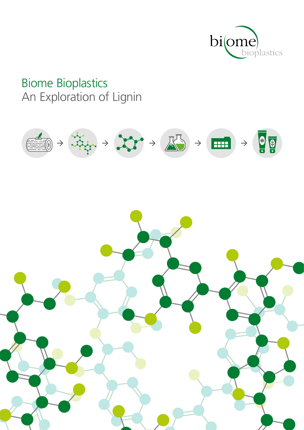

## **Biome Bioplastics** An Exploration of Lignin

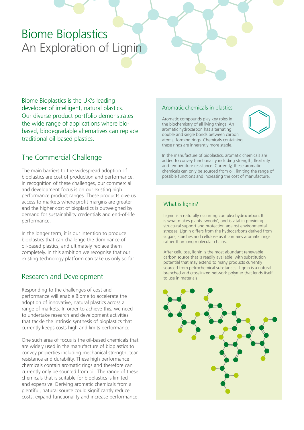## Biome Bioplastics An Exploration of Lignin

Biome Bioplastics is the UK's leading developer of intelligent, natural plastics. Our diverse product portfolio demonstrates the wide range of applications where biobased, biodegradable alternatives can replace traditional oil-based plastics.

## The Commercial Challenge

The main barriers to the widespread adoption of bioplastics are cost of production and performance. In recognition of these challenges, our commercial and development focus is on our existing high performance product ranges. These products give us access to markets where profit margins are greater and the higher cost of bioplastics is outweighed by demand for sustainability credentials and end-of-life performance.

In the longer term, it is our intention to produce bioplastics that can challenge the dominance of oil-based plastics, and ultimately replace them completely. In this ambition we recognise that our existing technology platform can take us only so far.

## Research and Development

Responding to the challenges of cost and performance will enable Biome to accelerate the adoption of innovative, natural plastics across a range of markets. In order to achieve this, we need to undertake research and development activities that tackle the intrinsic synthesis of bioplastics that currently keeps costs high and limits performance.

One such area of focus is the oil-based chemicals that are widely used in the manufacture of bioplastics to convey properties including mechanical strength, tear resistance and durability. These high performance chemicals contain aromatic rings and therefore can currently only be sourced from oil. The range of these chemicals that is suitable for bioplastics is limited and expensive. Deriving aromatic chemicals from a plentiful, natural source could significantly reduce costs, expand functionality and increase performance.

#### Aromatic chemicals in plastics

Aromatic compounds play key roles in the biochemistry of all living things. An aromatic hydrocarbon has alternating double and single bonds between carbon atoms, forming rings. Chemicals containing these rings are inherently more stable.

In the manufacture of bioplastics, aromatic chemicals are added to convey functionality including strength, flexibility and temperature resistance. Currently, these aromatic chemicals can only be sourced from oil, limiting the range of possible functions and increasing the cost of manufacture.

### What is lignin?

Lignin is a naturally occurring complex hydrocarbon. It is what makes plants 'woody', and is vital in providing structural support and protection against environmental stresses. Lignin differs from the hydrocarbons derived from sugars, starches and cellulose as it contains aromatic rings rather than long molecular chains.

After cellulose, lignin is the most abundant renewable carbon source that is readily available, with substitution potential that may extend to many products currently sourced from petrochemical substances. Lignin is a natural branched and crosslinked network polymer that lends itself to use in materials.

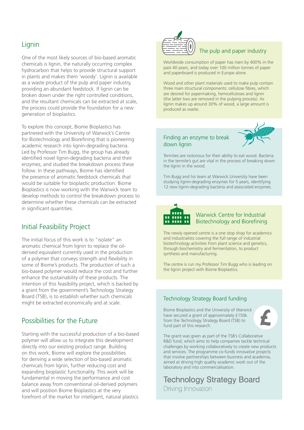## **Lignin**

One of the most likely sources of bio-based aromatic chemicals is lignin, the naturally occurring complex hydrocarbon that helps to provide structural support in plants and makes them 'woody'. Lignin is available as a waste product of the pulp and paper industry, providing an abundant feedstock. If lignin can be broken down under the right controlled conditions, and the resultant chemicals can be extracted at scale, the process could provide the foundation for a new generation of bioplastics.

To explore this concept, Biome Bioplastics has partnered with the University of Warwick's Centre for Biotechnology and Biorefining that is pioneering academic research into lignin-degrading bacteria. Led by Professor Tim Bugg, the group has already identified novel lignin-degrading bacteria and their enzymes, and studied the breakdown process these follow. In these pathways, Biome has identified the presence of aromatic feedstock chemicals that would be suitable for bioplastic production. Biome Bioplastics is now working with the Warwick team to develop methods to control the breakdown process to determine whether these chemicals can be extracted in significant quantities.

## Initial Feasibility Project

The initial focus of this work is to "isolate" an aromatic chemical from lignin to replace the oilderived equivalent currently used in the production of a polymer that conveys strength and flexibility in some of Biome's products. The production of such a bio-based polymer would reduce the cost and further enhance the sustainability of these products. The intention of this feasibility project, which is backed by a grant from the government's Technology Strategy Board (TSB), is to establish whether such chemicals might be extracted economically and at scale.

## Possibilities for the Future

Starting with the successful production of a bio-based polymer will allow us to integrate this development directly into our existing product range. Building on this work, Biome will explore the possibilities for deriving a wide selection of bio-based aromatic chemicals from lignin, further reducing cost and expanding bioplastic functionality. This work will be fundamental in moving the performance and cost balance away from conventional oil-derived polymers and will position Biome Bioplastics at the very forefront of the market for intelligent, natural plastics.



#### The pulp and paper industry

Worldwide consumption of paper has risen by 400% in the past 40 years, and today over 100 million tonnes of paper and paperboard is produced in Europe alone.

Wood and other plant materials used to make pulp contain three main structural components: cellulose fibres, which are desired for papermaking, hemicelluloses and lignin (the latter two are removed in the pulping process). As lignin makes up around 30% of wood, a large amount is produced as waste.

#### Finding an enzyme to break down lignin



Termites are notorious for their ability to eat wood. Bacteria in the termite's gut are vital in the process of breaking down the lignin in the wood.

Tim Bugg and his team at Warwick University have been studying lignin-degrading enzymes for 5 years, identifying 12 new lignin-degrading bacteria and associated enzymes.



#### Warwick Centre for Industrial Biotechnology and Biorefining

The newly opened centre is a one stop shop for academics and industrialists covering the full range of industrial biotechnology activities from plant science and genetics, through biochemistry and fermentation, to product synthesis and manufacturing.

The centre is run my Professor Tim Bugg who is leading on the lignin project with Biome Bioplastics.

#### Technology Strategy Board funding

Biome Bioplastics and the University of Warwick have secured a grant of approximately £150k from the Technology Strategy Board (TSB) to fund part of this research.



The grant was given as part of the TSB's Collaborative R&D fund, which aims to help companies tackle technical challenges by working collaboratively to create new products and services. The programme co-funds innovative projects that involve partnerships between business and academia, aimed at driving high quality academic work out of the laboratory and into commercialisation.

**Technology Strategy Board** Driving Innovation